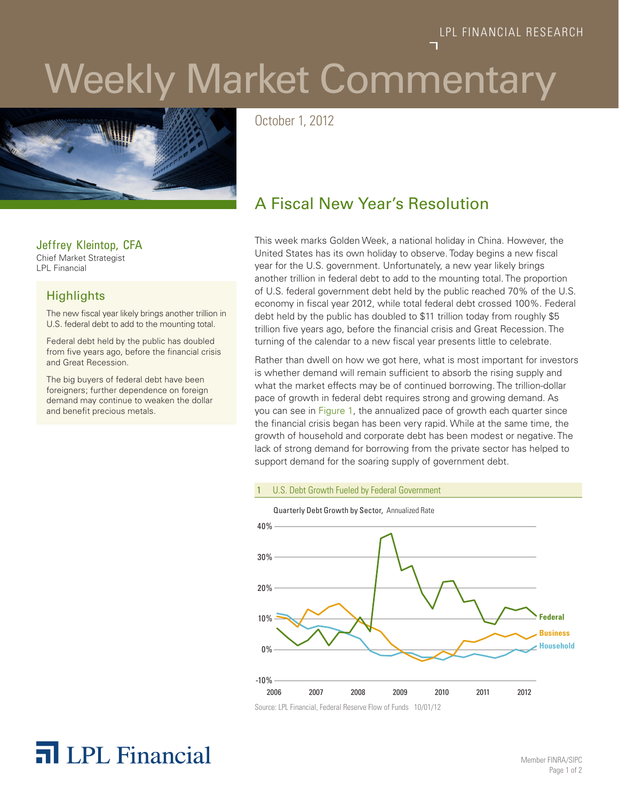# Weekly Market Commentary



October 1, 2012

### Jeffrey Kleintop, CFA

Chief Market Strategist LPL Financial

### **Highlights**

The new fiscal year likely brings another trillion in U.S. federal debt to add to the mounting total.

Federal debt held by the public has doubled from five years ago, before the financial crisis and Great Recession.

The big buyers of federal debt have been foreigners; further dependence on foreign demand may continue to weaken the dollar and benefit precious metals.

### A Fiscal New Year's Resolution

This week marks Golden Week, a national holiday in China. However, the United States has its own holiday to observe. Today begins a new fiscal year for the U.S. government. Unfortunately, a new year likely brings another trillion in federal debt to add to the mounting total. The proportion of U.S. federal government debt held by the public reached 70% of the U.S. economy in fiscal year 2012, while total federal debt crossed 100%. Federal debt held by the public has doubled to \$11 trillion today from roughly \$5 trillion five years ago, before the financial crisis and Great Recession. The turning of the calendar to a new fiscal year presents little to celebrate.

Rather than dwell on how we got here, what is most important for investors is whether demand will remain sufficient to absorb the rising supply and what the market effects may be of continued borrowing. The trillion-dollar pace of growth in federal debt requires strong and growing demand. As you can see in Figure 1, the annualized pace of growth each quarter since the financial crisis began has been very rapid. While at the same time, the growth of household and corporate debt has been modest or negative. The lack of strong demand for borrowing from the private sector has helped to support demand for the soaring supply of government debt.

### U.S. Debt Growth Fueled by Federal Government



## **T** LPL Financial